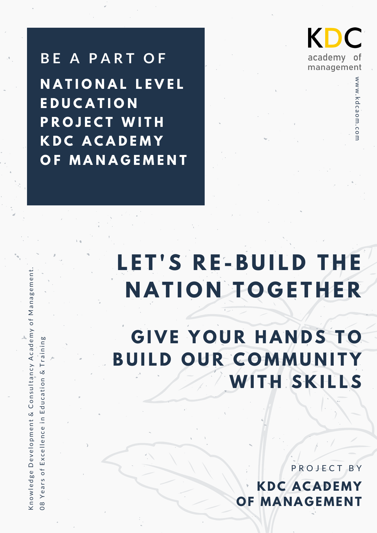**B E A P A R T O F N A T I O N A L L E V E L E D U C A T I O N P R O J E C T W I T H K D C A C A D E M Y O F M A N A G E M E N T**

Kn o w

08 $\succ$ 

w ledge Development &

e a r s o f E x c e l l e n c e i n E d u c a ti o n &

Co n s u lt a n c y

Ac a d e m y

T r a i n i n g

o f M a n a g e m e n t.

KDC academy 0t management

> w w

w.kdcaom.com

# **L E T ' S R E - B U I L D T H E N A T I O N T O G E T H E R**

**G I V E Y O U R H A N D S T O B U I L D O U R C O M M U N I T Y WI T H S K I L L S**

> **KDC ACAD EMY O F MA N A G EME N T** P R O J E C T B Y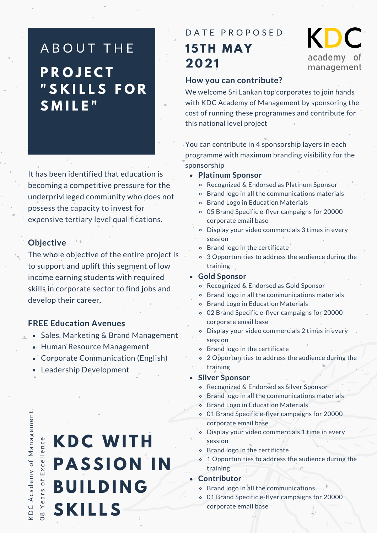### A B O U T THE **P R O J E C T " S K I L L S F O R S M I L E "**

It has been identified that education is becoming a competitive pressure for the underprivileged community who does not possess the capacity to invest for expensive tertiary level qualifications.

### **Objective**

The whole objective of the entire project is to support and uplift this segment of low income earning students with required skills in corporate sector to find jobs and develop their career.

### **FREE Education Avenues**

- $\triangle$  Sales, Marketing & Brand Management
	- Human Resource Management
	- Corporate Communication (English)
	- Leadership Development

D $\cup$  $\infty$ Ac a d e m yof Management.<br>..  $\succ$ e a r s o f E x c e l l e n c e

 $\checkmark$ 

 $\circ$ 

# **KDC WITH PASSION IN B U I L D I N G S K I L L S**

### **15TH MAY 2021** DATE PROPOSED

### KDC academy of management

### **How you can contribute?**

We welcome Sri Lankan top corporates to join hands with KDC Academy of Management by sponsoring the cost of running these programmes and contribute for this national level project

You can contribute in 4 sponsorship layers in each programme with maximum branding visibility for the sponsorship

- **Platinum Sponsor**
	- Recognized & Endorsed as Platinum Sponsor
	- Brand logo in all the communications materials
	- Brand Logo in Education Materials  $\circ$
	- 05 Brand Specific e-flyer campaigns for 20000 corporate email base
	- Display your video commercials 3 times in every session
	- o Brand logo in the certificate
	- 3 Opportunities to address the audience during the training

#### **Gold Sponsor**

- Recognized & Endorsed as Gold Sponsor
- Brand logo in all the communications materials
- Brand Logo in Education Materials
- 02 Brand Specific e-flyer campaigns for 20000 corporate email base
- Display your video commercials 2 times in every session
- Brand logo in the certificate
- 2 Opportunities to address the audience during the training
- **Silver Sponsor**
	- Recognized & Endorsed as Silver Sponsor
	- Brand logo in all the communications materials
	- Brand Logo in Education Materials
	- 01 Brand Specific e-flyer campaigns for 20000 corporate email base
	- Display your video commercials 1 time in every session
	- Brand logo in the certificate
	- o 1 Opportunities to address the audience during the training

**Contributor**

- Brand logo in all the communications
- 01 Brand Specific e-flyer campaigns for 20000 corporate email base